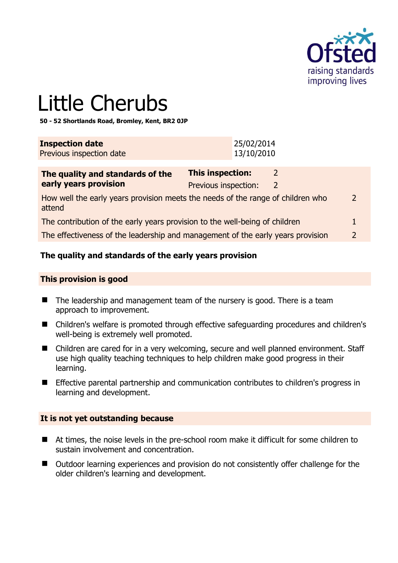

# Little Cherubs

**50 - 52 Shortlands Road, Bromley, Kent, BR2 0JP** 

| <b>Inspection date</b>          | 25/02/2014 |
|---------------------------------|------------|
| <b>Previous inspection date</b> | 13/10/2010 |

| The quality and standards of the                                                          | This inspection:     |   |               |
|-------------------------------------------------------------------------------------------|----------------------|---|---------------|
| early years provision                                                                     | Previous inspection: | 2 |               |
| How well the early years provision meets the needs of the range of children who<br>attend |                      |   | $\mathcal{P}$ |
| The contribution of the early years provision to the well-being of children               |                      |   |               |
| The effectiveness of the leadership and management of the early years provision           |                      |   |               |

# **The quality and standards of the early years provision**

#### **This provision is good**

- $\blacksquare$  The leadership and management team of the nursery is good. There is a team approach to improvement.
- Children's welfare is promoted through effective safeguarding procedures and children's well-being is extremely well promoted.
- Children are cared for in a very welcoming, secure and well planned environment. Staff use high quality teaching techniques to help children make good progress in their learning.
- **Effective parental partnership and communication contributes to children's progress in** learning and development.

#### **It is not yet outstanding because**

- At times, the noise levels in the pre-school room make it difficult for some children to sustain involvement and concentration.
- Outdoor learning experiences and provision do not consistently offer challenge for the older children's learning and development.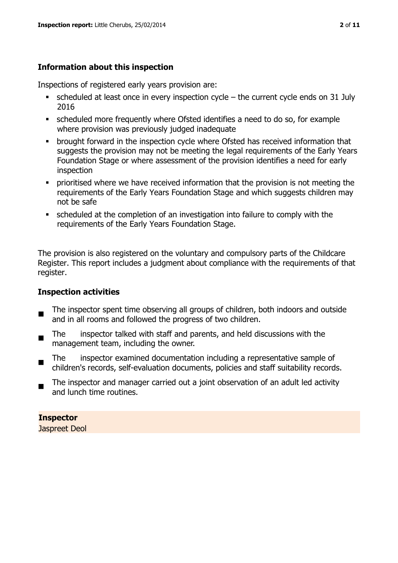# **Information about this inspection**

Inspections of registered early years provision are:

- scheduled at least once in every inspection cycle the current cycle ends on 31 July 2016
- scheduled more frequently where Ofsted identifies a need to do so, for example where provision was previously judged inadequate
- **•** brought forward in the inspection cycle where Ofsted has received information that suggests the provision may not be meeting the legal requirements of the Early Years Foundation Stage or where assessment of the provision identifies a need for early inspection
- **•** prioritised where we have received information that the provision is not meeting the requirements of the Early Years Foundation Stage and which suggests children may not be safe
- scheduled at the completion of an investigation into failure to comply with the requirements of the Early Years Foundation Stage.

The provision is also registered on the voluntary and compulsory parts of the Childcare Register. This report includes a judgment about compliance with the requirements of that register.

# **Inspection activities**

- п The inspector spent time observing all groups of children, both indoors and outside and in all rooms and followed the progress of two children.
- The inspector talked with staff and parents, and held discussions with the management team, including the owner.
- The inspector examined documentation including a representative sample of children's records, self-evaluation documents, policies and staff suitability records.
- The inspector and manager carried out a joint observation of an adult led activity and lunch time routines.

# **Inspector**

Jaspreet Deol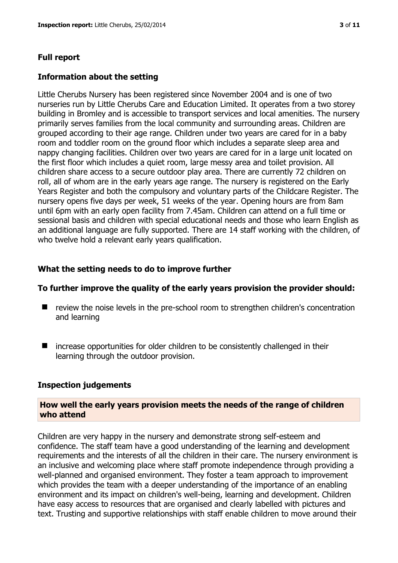#### **Full report**

#### **Information about the setting**

Little Cherubs Nursery has been registered since November 2004 and is one of two nurseries run by Little Cherubs Care and Education Limited. It operates from a two storey building in Bromley and is accessible to transport services and local amenities. The nursery primarily serves families from the local community and surrounding areas. Children are grouped according to their age range. Children under two years are cared for in a baby room and toddler room on the ground floor which includes a separate sleep area and nappy changing facilities. Children over two years are cared for in a large unit located on the first floor which includes a quiet room, large messy area and toilet provision. All children share access to a secure outdoor play area. There are currently 72 children on roll, all of whom are in the early years age range. The nursery is registered on the Early Years Register and both the compulsory and voluntary parts of the Childcare Register. The nursery opens five days per week, 51 weeks of the year. Opening hours are from 8am until 6pm with an early open facility from 7.45am. Children can attend on a full time or sessional basis and children with special educational needs and those who learn English as an additional language are fully supported. There are 14 staff working with the children, of who twelve hold a relevant early years qualification.

#### **What the setting needs to do to improve further**

#### **To further improve the quality of the early years provision the provider should:**

- review the noise levels in the pre-school room to strengthen children's concentration and learning
- increase opportunities for older children to be consistently challenged in their learning through the outdoor provision.

#### **Inspection judgements**

#### **How well the early years provision meets the needs of the range of children who attend**

Children are very happy in the nursery and demonstrate strong self-esteem and confidence. The staff team have a good understanding of the learning and development requirements and the interests of all the children in their care. The nursery environment is an inclusive and welcoming place where staff promote independence through providing a well-planned and organised environment. They foster a team approach to improvement which provides the team with a deeper understanding of the importance of an enabling environment and its impact on children's well-being, learning and development. Children have easy access to resources that are organised and clearly labelled with pictures and text. Trusting and supportive relationships with staff enable children to move around their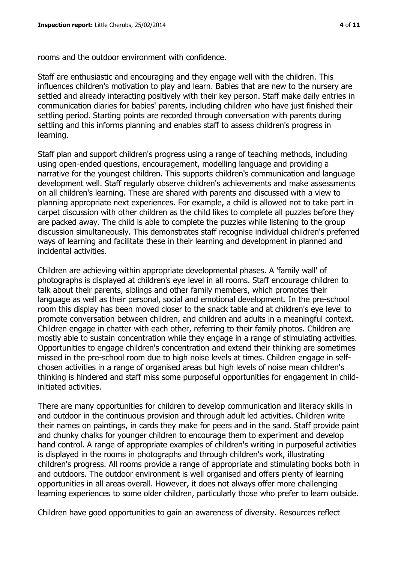rooms and the outdoor environment with confidence.

Staff are enthusiastic and encouraging and they engage well with the children. This influences children's motivation to play and learn. Babies that are new to the nursery are settled and already interacting positively with their key person. Staff make daily entries in communication diaries for babies' parents, including children who have just finished their settling period. Starting points are recorded through conversation with parents during settling and this informs planning and enables staff to assess children's progress in learning.

Staff plan and support children's progress using a range of teaching methods, including using open-ended questions, encouragement, modelling language and providing a narrative for the youngest children. This supports children's communication and language development well. Staff regularly observe children's achievements and make assessments on all children's learning. These are shared with parents and discussed with a view to planning appropriate next experiences. For example, a child is allowed not to take part in carpet discussion with other children as the child likes to complete all puzzles before they are packed away. The child is able to complete the puzzles while listening to the group discussion simultaneously. This demonstrates staff recognise individual children's preferred ways of learning and facilitate these in their learning and development in planned and incidental activities.

Children are achieving within appropriate developmental phases. A 'family wall' of photographs is displayed at children's eye level in all rooms. Staff encourage children to talk about their parents, siblings and other family members, which promotes their language as well as their personal, social and emotional development. In the pre-school room this display has been moved closer to the snack table and at children's eye level to promote conversation between children, and children and adults in a meaningful context. Children engage in chatter with each other, referring to their family photos. Children are mostly able to sustain concentration while they engage in a range of stimulating activities. Opportunities to engage children's concentration and extend their thinking are sometimes missed in the pre-school room due to high noise levels at times. Children engage in selfchosen activities in a range of organised areas but high levels of noise mean children's thinking is hindered and staff miss some purposeful opportunities for engagement in childinitiated activities.

There are many opportunities for children to develop communication and literacy skills in and outdoor in the continuous provision and through adult led activities. Children write their names on paintings, in cards they make for peers and in the sand. Staff provide paint and chunky chalks for younger children to encourage them to experiment and develop hand control. A range of appropriate examples of children's writing in purposeful activities is displayed in the rooms in photographs and through children's work, illustrating children's progress. All rooms provide a range of appropriate and stimulating books both in and outdoors. The outdoor environment is well organised and offers plenty of learning opportunities in all areas overall. However, it does not always offer more challenging learning experiences to some older children, particularly those who prefer to learn outside.

Children have good opportunities to gain an awareness of diversity. Resources reflect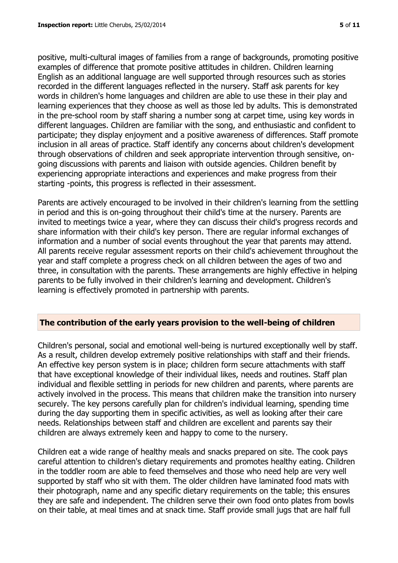positive, multi-cultural images of families from a range of backgrounds, promoting positive examples of difference that promote positive attitudes in children. Children learning English as an additional language are well supported through resources such as stories recorded in the different languages reflected in the nursery. Staff ask parents for key words in children's home languages and children are able to use these in their play and learning experiences that they choose as well as those led by adults. This is demonstrated in the pre-school room by staff sharing a number song at carpet time, using key words in different languages. Children are familiar with the song, and enthusiastic and confident to participate; they display enjoyment and a positive awareness of differences. Staff promote inclusion in all areas of practice. Staff identify any concerns about children's development through observations of children and seek appropriate intervention through sensitive, ongoing discussions with parents and liaison with outside agencies. Children benefit by experiencing appropriate interactions and experiences and make progress from their starting -points, this progress is reflected in their assessment.

Parents are actively encouraged to be involved in their children's learning from the settling in period and this is on-going throughout their child's time at the nursery. Parents are invited to meetings twice a year, where they can discuss their child's progress records and share information with their child's key person. There are regular informal exchanges of information and a number of social events throughout the year that parents may attend. All parents receive regular assessment reports on their child's achievement throughout the year and staff complete a progress check on all children between the ages of two and three, in consultation with the parents. These arrangements are highly effective in helping parents to be fully involved in their children's learning and development. Children's learning is effectively promoted in partnership with parents.

# **The contribution of the early years provision to the well-being of children**

Children's personal, social and emotional well-being is nurtured exceptionally well by staff. As a result, children develop extremely positive relationships with staff and their friends. An effective key person system is in place; children form secure attachments with staff that have exceptional knowledge of their individual likes, needs and routines. Staff plan individual and flexible settling in periods for new children and parents, where parents are actively involved in the process. This means that children make the transition into nursery securely. The key persons carefully plan for children's individual learning, spending time during the day supporting them in specific activities, as well as looking after their care needs. Relationships between staff and children are excellent and parents say their children are always extremely keen and happy to come to the nursery.

Children eat a wide range of healthy meals and snacks prepared on site. The cook pays careful attention to children's dietary requirements and promotes healthy eating. Children in the toddler room are able to feed themselves and those who need help are very well supported by staff who sit with them. The older children have laminated food mats with their photograph, name and any specific dietary requirements on the table; this ensures they are safe and independent. The children serve their own food onto plates from bowls on their table, at meal times and at snack time. Staff provide small jugs that are half full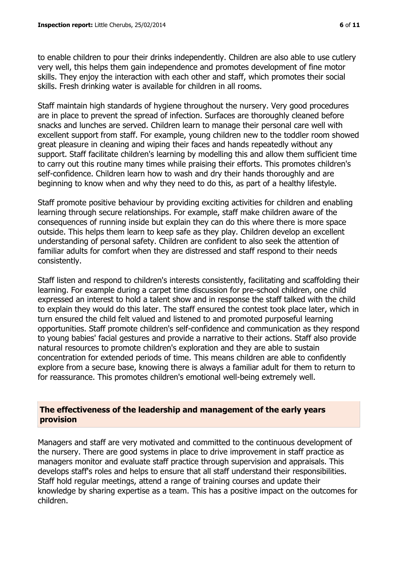to enable children to pour their drinks independently. Children are also able to use cutlery very well, this helps them gain independence and promotes development of fine motor skills. They enjoy the interaction with each other and staff, which promotes their social skills. Fresh drinking water is available for children in all rooms.

Staff maintain high standards of hygiene throughout the nursery. Very good procedures are in place to prevent the spread of infection. Surfaces are thoroughly cleaned before snacks and lunches are served. Children learn to manage their personal care well with excellent support from staff. For example, young children new to the toddler room showed great pleasure in cleaning and wiping their faces and hands repeatedly without any support. Staff facilitate children's learning by modelling this and allow them sufficient time to carry out this routine many times while praising their efforts. This promotes children's self-confidence. Children learn how to wash and dry their hands thoroughly and are beginning to know when and why they need to do this, as part of a healthy lifestyle.

Staff promote positive behaviour by providing exciting activities for children and enabling learning through secure relationships. For example, staff make children aware of the consequences of running inside but explain they can do this where there is more space outside. This helps them learn to keep safe as they play. Children develop an excellent understanding of personal safety. Children are confident to also seek the attention of familiar adults for comfort when they are distressed and staff respond to their needs consistently.

Staff listen and respond to children's interests consistently, facilitating and scaffolding their learning. For example during a carpet time discussion for pre-school children, one child expressed an interest to hold a talent show and in response the staff talked with the child to explain they would do this later. The staff ensured the contest took place later, which in turn ensured the child felt valued and listened to and promoted purposeful learning opportunities. Staff promote children's self-confidence and communication as they respond to young babies' facial gestures and provide a narrative to their actions. Staff also provide natural resources to promote children's exploration and they are able to sustain concentration for extended periods of time. This means children are able to confidently explore from a secure base, knowing there is always a familiar adult for them to return to for reassurance. This promotes children's emotional well-being extremely well.

#### **The effectiveness of the leadership and management of the early years provision**

Managers and staff are very motivated and committed to the continuous development of the nursery. There are good systems in place to drive improvement in staff practice as managers monitor and evaluate staff practice through supervision and appraisals. This develops staff's roles and helps to ensure that all staff understand their responsibilities. Staff hold regular meetings, attend a range of training courses and update their knowledge by sharing expertise as a team. This has a positive impact on the outcomes for children.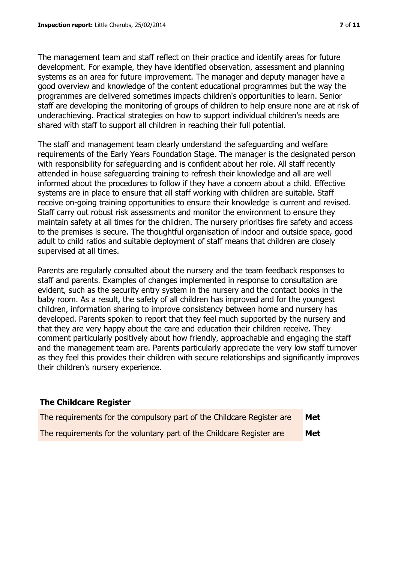The management team and staff reflect on their practice and identify areas for future development. For example, they have identified observation, assessment and planning systems as an area for future improvement. The manager and deputy manager have a good overview and knowledge of the content educational programmes but the way the programmes are delivered sometimes impacts children's opportunities to learn. Senior staff are developing the monitoring of groups of children to help ensure none are at risk of underachieving. Practical strategies on how to support individual children's needs are shared with staff to support all children in reaching their full potential.

The staff and management team clearly understand the safeguarding and welfare requirements of the Early Years Foundation Stage. The manager is the designated person with responsibility for safeguarding and is confident about her role. All staff recently attended in house safeguarding training to refresh their knowledge and all are well informed about the procedures to follow if they have a concern about a child. Effective systems are in place to ensure that all staff working with children are suitable. Staff receive on-going training opportunities to ensure their knowledge is current and revised. Staff carry out robust risk assessments and monitor the environment to ensure they maintain safety at all times for the children. The nursery prioritises fire safety and access to the premises is secure. The thoughtful organisation of indoor and outside space, good adult to child ratios and suitable deployment of staff means that children are closely supervised at all times.

Parents are regularly consulted about the nursery and the team feedback responses to staff and parents. Examples of changes implemented in response to consultation are evident, such as the security entry system in the nursery and the contact books in the baby room. As a result, the safety of all children has improved and for the youngest children, information sharing to improve consistency between home and nursery has developed. Parents spoken to report that they feel much supported by the nursery and that they are very happy about the care and education their children receive. They comment particularly positively about how friendly, approachable and engaging the staff and the management team are. Parents particularly appreciate the very low staff turnover as they feel this provides their children with secure relationships and significantly improves their children's nursery experience.

| <b>The Childcare Register</b>                                          |            |
|------------------------------------------------------------------------|------------|
| The requirements for the compulsory part of the Childcare Register are | Met        |
| The requirements for the voluntary part of the Childcare Register are  | <b>Met</b> |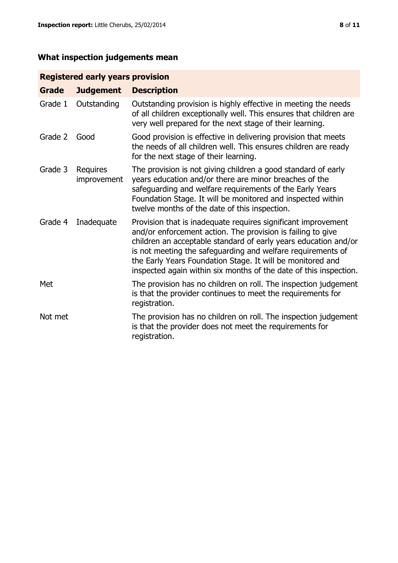# **What inspection judgements mean**

# **Registered early years provision**

| <b>Grade</b> | <b>Judgement</b>        | <b>Description</b>                                                                                                                                                                                                                                                                                                                                                                                |
|--------------|-------------------------|---------------------------------------------------------------------------------------------------------------------------------------------------------------------------------------------------------------------------------------------------------------------------------------------------------------------------------------------------------------------------------------------------|
| Grade 1      | Outstanding             | Outstanding provision is highly effective in meeting the needs<br>of all children exceptionally well. This ensures that children are<br>very well prepared for the next stage of their learning.                                                                                                                                                                                                  |
| Grade 2      | Good                    | Good provision is effective in delivering provision that meets<br>the needs of all children well. This ensures children are ready<br>for the next stage of their learning.                                                                                                                                                                                                                        |
| Grade 3      | Requires<br>improvement | The provision is not giving children a good standard of early<br>years education and/or there are minor breaches of the<br>safeguarding and welfare requirements of the Early Years<br>Foundation Stage. It will be monitored and inspected within<br>twelve months of the date of this inspection.                                                                                               |
| Grade 4      | Inadequate              | Provision that is inadequate requires significant improvement<br>and/or enforcement action. The provision is failing to give<br>children an acceptable standard of early years education and/or<br>is not meeting the safeguarding and welfare requirements of<br>the Early Years Foundation Stage. It will be monitored and<br>inspected again within six months of the date of this inspection. |
| Met          |                         | The provision has no children on roll. The inspection judgement<br>is that the provider continues to meet the requirements for<br>registration.                                                                                                                                                                                                                                                   |
| Not met      |                         | The provision has no children on roll. The inspection judgement<br>is that the provider does not meet the requirements for<br>registration.                                                                                                                                                                                                                                                       |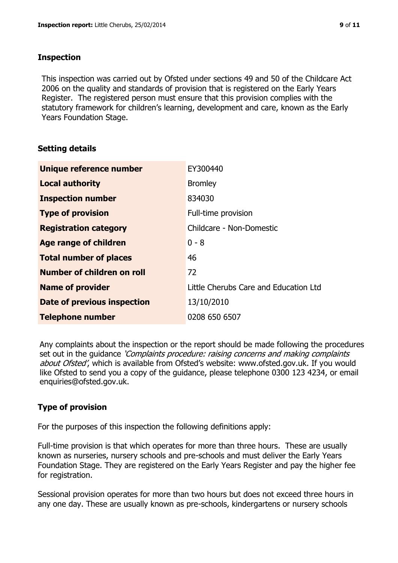### **Inspection**

This inspection was carried out by Ofsted under sections 49 and 50 of the Childcare Act 2006 on the quality and standards of provision that is registered on the Early Years Register. The registered person must ensure that this provision complies with the statutory framework for children's learning, development and care, known as the Early Years Foundation Stage.

# **Setting details**

| Unique reference number       | EY300440                              |
|-------------------------------|---------------------------------------|
| <b>Local authority</b>        | <b>Bromley</b>                        |
| <b>Inspection number</b>      | 834030                                |
| <b>Type of provision</b>      | Full-time provision                   |
| <b>Registration category</b>  | Childcare - Non-Domestic              |
| Age range of children         | $0 - 8$                               |
| <b>Total number of places</b> | 46                                    |
| Number of children on roll    | 72                                    |
| <b>Name of provider</b>       | Little Cherubs Care and Education Ltd |
| Date of previous inspection   | 13/10/2010                            |
| <b>Telephone number</b>       | 0208 650 6507                         |

Any complaints about the inspection or the report should be made following the procedures set out in the guidance *'Complaints procedure: raising concerns and making complaints* about Ofsted', which is available from Ofsted's website: www.ofsted.gov.uk. If you would like Ofsted to send you a copy of the guidance, please telephone 0300 123 4234, or email enquiries@ofsted.gov.uk.

# **Type of provision**

For the purposes of this inspection the following definitions apply:

Full-time provision is that which operates for more than three hours. These are usually known as nurseries, nursery schools and pre-schools and must deliver the Early Years Foundation Stage. They are registered on the Early Years Register and pay the higher fee for registration.

Sessional provision operates for more than two hours but does not exceed three hours in any one day. These are usually known as pre-schools, kindergartens or nursery schools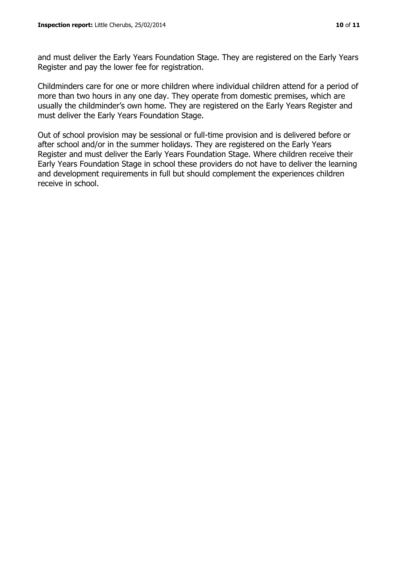and must deliver the Early Years Foundation Stage. They are registered on the Early Years Register and pay the lower fee for registration.

Childminders care for one or more children where individual children attend for a period of more than two hours in any one day. They operate from domestic premises, which are usually the childminder's own home. They are registered on the Early Years Register and must deliver the Early Years Foundation Stage.

Out of school provision may be sessional or full-time provision and is delivered before or after school and/or in the summer holidays. They are registered on the Early Years Register and must deliver the Early Years Foundation Stage. Where children receive their Early Years Foundation Stage in school these providers do not have to deliver the learning and development requirements in full but should complement the experiences children receive in school.